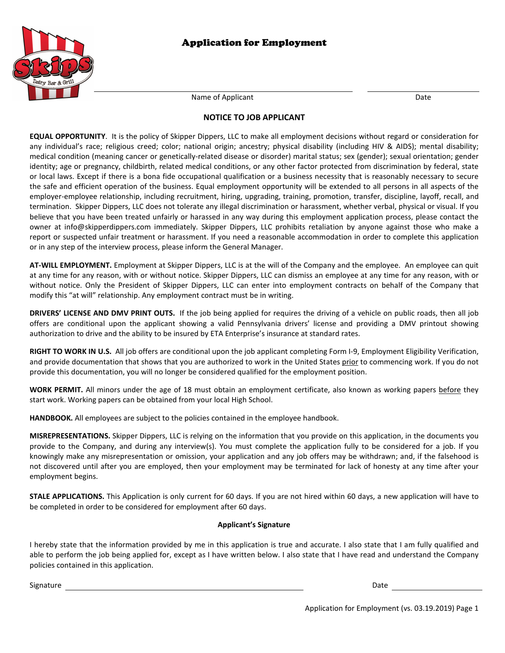



Name of Applicant Date Date Date Date

### **NOTICE TO JOB APPLICANT**

**EQUAL OPPORTUNITY**. It is the policy of Skipper Dippers, LLC to make all employment decisions without regard or consideration for any individual's race; religious creed; color; national origin; ancestry; physical disability (including HIV & AIDS); mental disability; medical condition (meaning cancer or genetically-related disease or disorder) marital status; sex (gender); sexual orientation; gender identity; age or pregnancy, childbirth, related medical conditions, or any other factor protected from discrimination by federal, state or local laws. Except if there is a bona fide occupational qualification or a business necessity that is reasonably necessary to secure the safe and efficient operation of the business. Equal employment opportunity will be extended to all persons in all aspects of the employer-employee relationship, including recruitment, hiring, upgrading, training, promotion, transfer, discipline, layoff, recall, and termination. Skipper Dippers, LLC does not tolerate any illegal discrimination or harassment, whether verbal, physical or visual. If you believe that you have been treated unfairly or harassed in any way during this employment application process, please contact the owner at info@skipperdippers.com immediately. Skipper Dippers, LLC prohibits retaliation by anyone against those who make a report or suspected unfair treatment or harassment. If you need a reasonable accommodation in order to complete this application or in any step of the interview process, please inform the General Manager.

**AT-WILL EMPLOYMENT.** Employment at Skipper Dippers, LLC is at the will of the Company and the employee. An employee can quit at any time for any reason, with or without notice. Skipper Dippers, LLC can dismiss an employee at any time for any reason, with or without notice. Only the President of Skipper Dippers, LLC can enter into employment contracts on behalf of the Company that modify this "at will" relationship. Any employment contract must be in writing.

**DRIVERS' LICENSE AND DMV PRINT OUTS.** If the job being applied for requires the driving of a vehicle on public roads, then all job offers are conditional upon the applicant showing a valid Pennsylvania drivers' license and providing a DMV printout showing authorization to drive and the ability to be insured by ETA Enterprise's insurance at standard rates.

**RIGHT TO WORK IN U.S.** All job offers are conditional upon the job applicant completing Form I-9, Employment Eligibility Verification, and provide documentation that shows that you are authorized to work in the United States prior to commencing work. If you do not provide this documentation, you will no longer be considered qualified for the employment position.

WORK PERMIT. All minors under the age of 18 must obtain an employment certificate, also known as working papers before they start work. Working papers can be obtained from your local High School.

**HANDBOOK.** All employees are subject to the policies contained in the employee handbook.

**MISREPRESENTATIONS.** Skipper Dippers, LLC is relying on the information that you provide on this application, in the documents you provide to the Company, and during any interview(s). You must complete the application fully to be considered for a job. If you knowingly make any misrepresentation or omission, your application and any job offers may be withdrawn; and, if the falsehood is not discovered until after you are employed, then your employment may be terminated for lack of honesty at any time after your employment begins.

**STALE APPLICATIONS.** This Application is only current for 60 days. If you are not hired within 60 days, a new application will have to be completed in order to be considered for employment after 60 days.

#### **Applicant's Signature**

I hereby state that the information provided by me in this application is true and accurate. I also state that I am fully qualified and able to perform the job being applied for, except as I have written below. I also state that I have read and understand the Company policies contained in this application.

Signature Date Date of the Date of the Date of the Date of the Date of the Date of the Date of the Date of the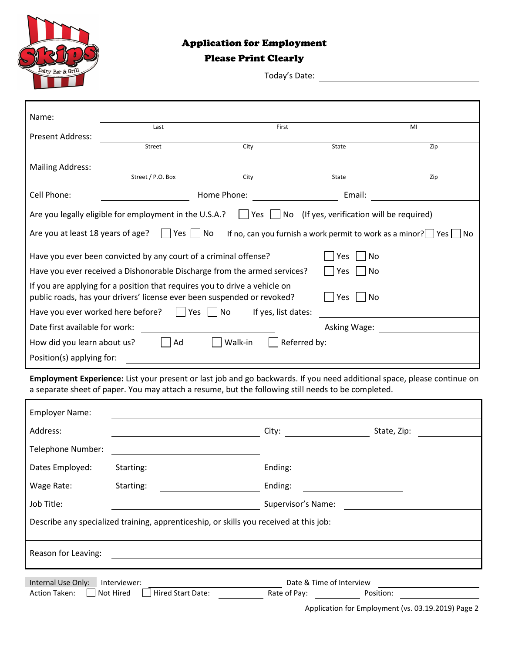

# Application for Employment

## Please Print Clearly

Today's Date:

| Name:                                                                                                                                                               |                                                        |             |                                                                               |     |
|---------------------------------------------------------------------------------------------------------------------------------------------------------------------|--------------------------------------------------------|-------------|-------------------------------------------------------------------------------|-----|
| <b>Present Address:</b>                                                                                                                                             | Last                                                   | First       |                                                                               | MI  |
|                                                                                                                                                                     | Street                                                 | City        | State                                                                         | Zip |
| <b>Mailing Address:</b>                                                                                                                                             |                                                        |             |                                                                               |     |
|                                                                                                                                                                     | Street / P.O. Box                                      | City        | State                                                                         | Zip |
| Cell Phone:                                                                                                                                                         |                                                        | Home Phone: | Email:                                                                        |     |
|                                                                                                                                                                     | Are you legally eligible for employment in the U.S.A.? | Yes         | No (If yes, verification will be required)                                    |     |
| Are you at least 18 years of age?                                                                                                                                   | Yes    No                                              |             | If no, can you furnish a work permit to work as a minor? $\Box$ Yes $\Box$ No |     |
| Have you ever been convicted by any court of a criminal offense?<br>Yes<br>No                                                                                       |                                                        |             |                                                                               |     |
| Have you ever received a Dishonorable Discharge from the armed services?<br>Yes<br>No                                                                               |                                                        |             |                                                                               |     |
| If you are applying for a position that requires you to drive a vehicle on<br>public roads, has your drivers' license ever been suspended or revoked?<br>Yes<br>No. |                                                        |             |                                                                               |     |
| Have you ever worked here before?<br>If yes, list dates:<br>Yes  <br>No                                                                                             |                                                        |             |                                                                               |     |
| Date first available for work:                                                                                                                                      |                                                        |             | Asking Wage:                                                                  |     |
| Walk-in<br>Referred by:<br>How did you learn about us?<br>Ad                                                                                                        |                                                        |             |                                                                               |     |
| Position(s) applying for:                                                                                                                                           |                                                        |             |                                                                               |     |

**Employment Experience:** List your present or last job and go backwards. If you need additional space, please continue on a separate sheet of paper. You may attach a resume, but the following still needs to be completed.

| <b>Employer Name:</b>                                                                  |                                                |                                                                                                                                                                                                                                |             |  |  |  |
|----------------------------------------------------------------------------------------|------------------------------------------------|--------------------------------------------------------------------------------------------------------------------------------------------------------------------------------------------------------------------------------|-------------|--|--|--|
| Address:                                                                               |                                                | City: and the control of the control of the control of the control of the control of the control of the control of the control of the control of the control of the control of the control of the control of the control of th | State, Zip: |  |  |  |
| Telephone Number:                                                                      |                                                |                                                                                                                                                                                                                                |             |  |  |  |
| Dates Employed:                                                                        | Starting:                                      | Ending:                                                                                                                                                                                                                        |             |  |  |  |
| Wage Rate:                                                                             | Starting:                                      | Ending:                                                                                                                                                                                                                        |             |  |  |  |
| Job Title:                                                                             |                                                | Supervisor's Name:                                                                                                                                                                                                             |             |  |  |  |
| Describe any specialized training, apprenticeship, or skills you received at this job: |                                                |                                                                                                                                                                                                                                |             |  |  |  |
|                                                                                        |                                                |                                                                                                                                                                                                                                |             |  |  |  |
| Reason for Leaving:                                                                    |                                                |                                                                                                                                                                                                                                |             |  |  |  |
|                                                                                        |                                                |                                                                                                                                                                                                                                |             |  |  |  |
| Internal Use Only:<br><b>Action Taken:</b>                                             | Interviewer:<br>Hired Start Date:<br>Not Hired | Date & Time of Interview<br>Rate of Pay:                                                                                                                                                                                       | Position:   |  |  |  |

Application for Employment (vs. 03.19.2019) Page 2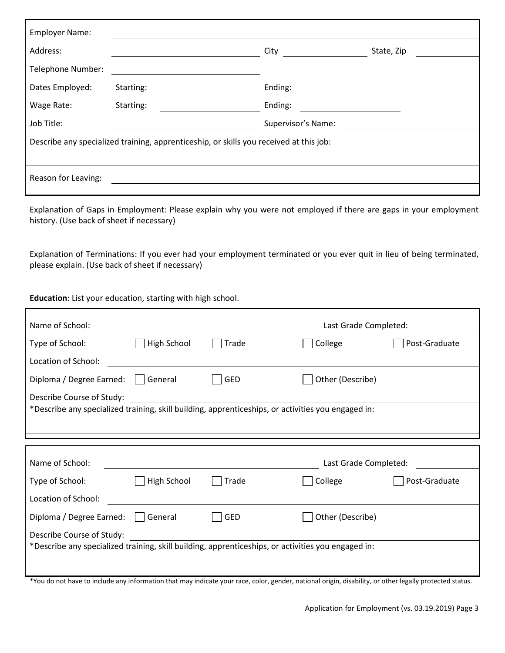| <b>Employer Name:</b>                                                                  |           |                    |            |  |  |
|----------------------------------------------------------------------------------------|-----------|--------------------|------------|--|--|
| Address:                                                                               |           | City               | State, Zip |  |  |
| Telephone Number:                                                                      |           |                    |            |  |  |
| Dates Employed:                                                                        | Starting: | Ending:            |            |  |  |
| Wage Rate:                                                                             | Starting: | Ending:            |            |  |  |
| Job Title:                                                                             |           | Supervisor's Name: |            |  |  |
| Describe any specialized training, apprenticeship, or skills you received at this job: |           |                    |            |  |  |
|                                                                                        |           |                    |            |  |  |
| Reason for Leaving:                                                                    |           |                    |            |  |  |
|                                                                                        |           |                    |            |  |  |

Explanation of Gaps in Employment: Please explain why you were not employed if there are gaps in your employment history. (Use back of sheet if necessary)

Explanation of Terminations: If you ever had your employment terminated or you ever quit in lieu of being terminated, please explain. (Use back of sheet if necessary)

**Education**: List your education, starting with high school.

Г

| Name of School:                                                                                    |             |            | Last Grade Completed: |               |  |  |
|----------------------------------------------------------------------------------------------------|-------------|------------|-----------------------|---------------|--|--|
| Type of School:                                                                                    | High School | Trade      | College               | Post-Graduate |  |  |
| Location of School:                                                                                |             |            |                       |               |  |  |
| Diploma / Degree Earned:                                                                           | General     | <b>GED</b> | Other (Describe)      |               |  |  |
| Describe Course of Study:                                                                          |             |            |                       |               |  |  |
| *Describe any specialized training, skill building, apprenticeships, or activities you engaged in: |             |            |                       |               |  |  |
|                                                                                                    |             |            |                       |               |  |  |
|                                                                                                    |             |            |                       |               |  |  |
|                                                                                                    |             |            |                       |               |  |  |
| Name of School:                                                                                    |             |            | Last Grade Completed: |               |  |  |
| Type of School:                                                                                    | High School | Trade      | College               | Post-Graduate |  |  |
| Location of School:                                                                                |             |            |                       |               |  |  |
| Diploma / Degree Earned:                                                                           | General     | <b>GED</b> | Other (Describe)      |               |  |  |
| Describe Course of Study:                                                                          |             |            |                       |               |  |  |
| *Describe any specialized training, skill building, apprenticeships, or activities you engaged in: |             |            |                       |               |  |  |

\*You do not have to include any information that may indicate your race, color, gender, national origin, disability, or other legally protected status.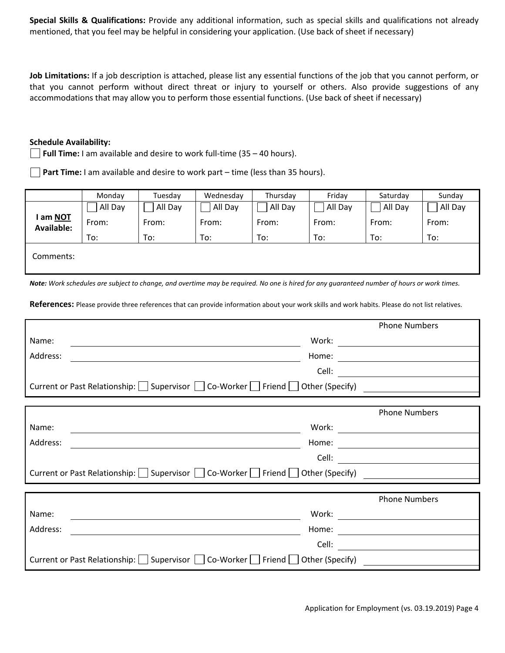**Special Skills & Qualifications:** Provide any additional information, such as special skills and qualifications not already mentioned, that you feel may be helpful in considering your application. (Use back of sheet if necessary)

**Job Limitations:** If a job description is attached, please list any essential functions of the job that you cannot perform, or that you cannot perform without direct threat or injury to yourself or others. Also provide suggestions of any accommodations that may allow you to perform those essential functions. (Use back of sheet if necessary)

### **Schedule Availability:**

**Full Time:** I am available and desire to work full-time (35 – 40 hours).

**Part Time:** I am available and desire to work part – time (less than 35 hours).

|                                      | Monday  | Tuesday | Wednesday | Thursday | Friday  | Saturday | Sunday  |
|--------------------------------------|---------|---------|-----------|----------|---------|----------|---------|
|                                      | All Day | All Day | All Day   | All Day  | All Day | All Day  | All Day |
| l am <u>NOT</u><br><b>Available:</b> | From:   | From:   | From:     | From:    | From:   | From:    | From:   |
|                                      | To:     | To:     | To:       | To:      | To:     | To:      | To:     |
| Comments:                            |         |         |           |          |         |          |         |
|                                      |         |         |           |          |         |          |         |

*Note:* Work schedules are subject to change, and overtime may be required. No one is hired for any guaranteed number of hours or work times.

**References:** Please provide three references that can provide information about your work skills and work habits. Please do not list relatives.

|                                                                                         |       | <b>Phone Numbers</b>                                                                                                                                                                                                                 |
|-----------------------------------------------------------------------------------------|-------|--------------------------------------------------------------------------------------------------------------------------------------------------------------------------------------------------------------------------------------|
| Name:                                                                                   | Work: | the control of the control of the control of                                                                                                                                                                                         |
| Address:                                                                                | Home: |                                                                                                                                                                                                                                      |
|                                                                                         | Cell: |                                                                                                                                                                                                                                      |
| Current or Past Relationship:   Supervisor   Co-Worker   Friend   Other (Specify)       |       | <u> 1989 - John Stein, Amerikaansk politiker (</u>                                                                                                                                                                                   |
|                                                                                         |       |                                                                                                                                                                                                                                      |
|                                                                                         |       | <b>Phone Numbers</b>                                                                                                                                                                                                                 |
| Name:                                                                                   | Work: | <u> 1989 - Johann Barn, mars ann an t-Aonaich an t-Aonaich an t-Aonaich an t-Aonaich an t-Aonaich ann an t-Aonaich</u>                                                                                                               |
| Address:                                                                                | Home: |                                                                                                                                                                                                                                      |
|                                                                                         | Cell: |                                                                                                                                                                                                                                      |
| Current or Past Relationship: Supervisor Co-Worker Friend Other (Specify)               |       | <u>and the state of the state of the state of the state of the state of the state of the state of the state of the state of the state of the state of the state of the state of the state of the state of the state of the state</u> |
|                                                                                         |       |                                                                                                                                                                                                                                      |
|                                                                                         |       | <b>Phone Numbers</b>                                                                                                                                                                                                                 |
| Name:                                                                                   | Work: | <u> 1989 - Jan Stern Stern Stern Stern Stern Stern Stern Stern Stern Stern Stern Stern Stern Stern Stern Stern Stern Stern Stern Stern Stern Stern Stern Stern Stern Stern Stern Stern Stern Stern Stern Stern Stern Stern Stern</u> |
| Address:                                                                                | Home: |                                                                                                                                                                                                                                      |
|                                                                                         | Cell: |                                                                                                                                                                                                                                      |
| Current or Past Relationship:   Supervisor     Co-Worker     Friend     Other (Specify) |       |                                                                                                                                                                                                                                      |